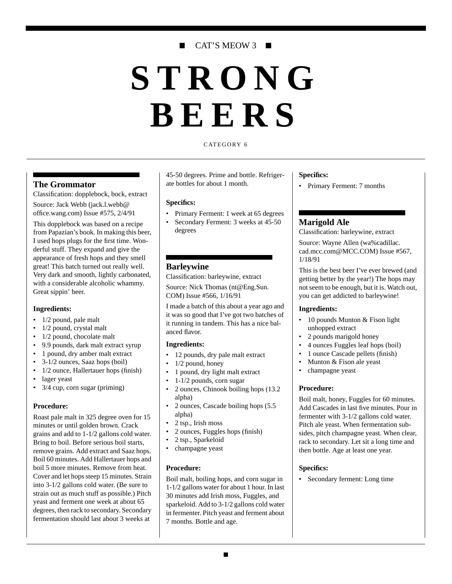# CAT'S MEOW 3 ■

# **STRONG BEERS**

#### CATEGORY 6

# **The Grommator**

Classification: dopplebock, bock, extract Source: Jack Webb (jack.l.webb@ office.wang.com) Issue #575, 2/4/91

This dopplebock was based on a recipe from Papazian's book. In making this beer, I used hops plugs for the first time. Wonderful stuff. They expand and give the appearance of fresh hops and they smell great! This batch turned out really well. Very dark and smooth, lightly carbonated, with a considerable alcoholic whammy. Great sippin' beer.

#### **Ingredients:**

- 1/2 pound, pale malt
- 1/2 pound, crystal malt
- 1/2 pound, chocolate malt
- 9.9 pounds, dark malt extract syrup
- 1 pound, dry amber malt extract
- 3-1/2 ounces, Saaz hops (boil)
- 1/2 ounce, Hallertauer hops (finish)
- lager yeast
- 3/4 cup, corn sugar (priming)

#### **Procedure:**

Roast pale malt in 325 degree oven for 15 minutes or until golden brown. Crack grains and add to 1-1/2 gallons cold water. Bring to boil. Before serious boil starts, remove grains. Add extract and Saaz hops. Boil 60 minutes. Add Hallertauer hops and boil 5 more minutes. Remove from heat. Cover and let hops steep 15 minutes. Strain into 3-1/2 gallons cold water. (Be sure to strain out as much stuff as possible.) Pitch yeast and ferment one week at about 65 degrees, then rack to secondary. Secondary fermentation should last about 3 weeks at

45-50 degrees. Prime and bottle. Refrigerate bottles for about 1 month.

#### **Specifics:**

- Primary Ferment: 1 week at 65 degrees
- Secondary Ferment: 3 weeks at 45-50 degrees

# **Barleywine**

Classification: barleywine, extract

Source: Nick Thomas (nt@Eng.Sun. COM) Issue #566, 1/16/91

I made a batch of this about a year ago and it was so good that I've got two batches of it running in tandem. This has a nice balanced flavor.

#### **Ingredients:**

- 12 pounds, dry pale malt extract
- $1/2$  pound, honey
- 1 pound, dry light malt extract
- 1-1/2 pounds, corn sugar
- 2 ounces, Chinook boiling hops (13.2 alpha)
- 2 ounces, Cascade boiling hops (5.5 alpha)
- 2 tsp., Irish moss
- 2 ounces, Fuggles hops (finish)
- 2 tsp., Sparkeloid
- champagne yeast

#### **Procedure:**

Boil malt, boiling hops, and corn sugar in 1-1/2 gallons water for about 1 hour. In last 30 minutes add Irish moss, Fuggles, and sparkeloid. Add to 3-1/2 gallons cold water in fermenter. Pitch yeast and ferment about 7 months. Bottle and age.

#### **Specifics:**

• Primary Ferment: 7 months

# **Marigold Ale**

Classification: barleywine, extract

Source: Wayne Allen (wa%cadillac. cad.mcc.com@MCC.COM) Issue #567, 1/18/91

This is the best beer I've ever brewed (and getting better by the year!) The hops may not seem to be enough, but it is. Watch out, you can get addicted to barleywine!

#### **Ingredients:**

- 10 pounds Munton & Fison light unhopped extract
- 2 pounds marigold honey
- 4 ounces Fuggles leaf hops (boil)
- 1 ounce Cascade pellets (finish)
- Munton & Fison ale yeast
- champagne yeast

#### **Procedure:**

Boil malt, honey, Fuggles for 60 minutes. Add Cascades in last five minutes. Pour in fermenter with 3-1/2 gallons cold water. Pitch ale yeast. When fermentation subsides, pitch champagne yeast. When clear, rack to secondary. Let sit a long time and then bottle. Age at least one year.

#### **Specifics:**

• Secondary ferment: Long time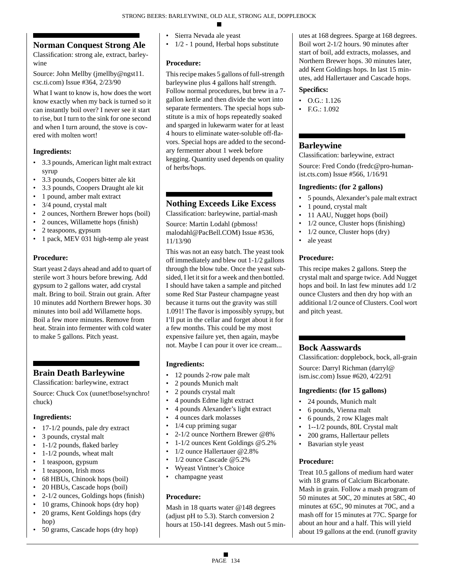# **Norman Conquest Strong Ale**

Classification: strong ale, extract, barleywine

Source: John Mellby (jmellby@ngst11. csc.ti.com) Issue #364, 2/23/90

What I want to know is, how does the wort know exactly when my back is turned so it can instantly boil over? I never see it start to rise, but I turn to the sink for one second and when I turn around, the stove is covered with molten wort!

# **Ingredients:**

- 3.3 pounds, American light malt extract syrup
- 3.3 pounds, Coopers bitter ale kit
- 3.3 pounds, Coopers Draught ale kit
- 1 pound, amber malt extract
- 3/4 pound, crystal malt
- 2 ounces, Northern Brewer hops (boil)
- 2 ounces, Willamette hops (finish)
- 2 teaspoons, gypsum
- 1 pack, MEV 031 high-temp ale yeast

# **Procedure:**

Start yeast 2 days ahead and add to quart of sterile wort 3 hours before brewing. Add gypsum to 2 gallons water, add crystal malt. Bring to boil. Strain out grain. After 10 minutes add Northern Brewer hops. 30 minutes into boil add Willamette hops. Boil a few more minutes. Remove from heat. Strain into fermenter with cold water to make 5 gallons. Pitch yeast.

# **Brain Death Barleywine**

Classification: barleywine, extract

Source: Chuck Cox (uunet!bose!synchro! chuck)

# **Ingredients:**

- 17-1/2 pounds, pale dry extract
- 3 pounds, crystal malt
- 1-1/2 pounds, flaked barley
- 1-1/2 pounds, wheat malt
- 1 teaspoon, gypsum
- 1 teaspoon, Irish moss
- 68 HBUs, Chinook hops (boil)
- 20 HBUs, Cascade hops (boil)
- 2-1/2 ounces, Goldings hops (finish)
- 10 grams, Chinook hops (dry hop)
- 20 grams, Kent Goldings hops (dry hop)
- 50 grams, Cascade hops (dry hop)
- Sierra Nevada ale yeast
- 1/2 1 pound, Herbal hops substitute

# **Procedure:**

This recipe makes 5 gallons of full-strength barleywine plus 4 gallons half strength. Follow normal procedures, but brew in a 7 gallon kettle and then divide the wort into separate fermenters. The special hops substitute is a mix of hops repeatedly soaked and sparged in lukewarm water for at least 4 hours to eliminate water-soluble off-flavors. Special hops are added to the secondary fermenter about 1 week before kegging. Quantity used depends on quality of herbs/hops.

# **Nothing Exceeds Like Excess**

Classification: barleywine, partial-mash

Source: Martin Lodahl (pbmoss! malodahl@PacBell.COM) Issue #536, 11/13/90

This was not an easy batch. The yeast took off immediately and blew out 1-1/2 gallons through the blow tube. Once the yeast subsided, I let it sit for a week and then bottled. I should have taken a sample and pitched some Red Star Pasteur champagne yeast because it turns out the gravity was still 1.091! The flavor is impossibly syrupy, but I'll put in the cellar and forget about it for a few months. This could be my most expensive failure yet, then again, maybe not. Maybe I can pour it over ice cream...

# **Ingredients:**

- 12 pounds 2-row pale malt
- 2 pounds Munich malt
- 2 pounds crystal malt
- 4 pounds Edme light extract
- 4 pounds Alexander's light extract
- 4 ounces dark molasses
- $\cdot$  1/4 cup priming sugar
- 2-1/2 ounce Northern Brewer @8%
- 1-1/2 ounces Kent Goldings @5.2%
- 1/2 ounce Hallertauer @2.8%
- 1/2 ounce Cascade @5.2%
- Wyeast Vintner's Choice
- champagne yeast

# **Procedure:**

Mash in 18 quarts water @148 degrees (adjust pH to 5.3). Starch conversion 2 hours at 150-141 degrees. Mash out 5 minutes at 168 degrees. Sparge at 168 degrees. Boil wort 2-1/2 hours. 90 minutes after start of boil, add extracts, molasses, and Northern Brewer hops. 30 minutes later, add Kent Goldings hops. In last 15 minutes, add Hallertauer and Cascade hops.

## **Specifics:**

- O.G.: 1.126
- F.G.: 1.092

# **Barleywine**

Classification: barleywine, extract Source: Fred Condo (fredc@pro-humanist.cts.com) Issue #566, 1/16/91

## **Ingredients: (for 2 gallons)**

- 5 pounds, Alexander's pale malt extract
- 1 pound, crystal malt
- 11 AAU, Nugget hops (boil)
- 1/2 ounce, Cluster hops (finishing)
- 1/2 ounce, Cluster hops (dry)
- ale yeast

# **Procedure:**

This recipe makes 2 gallons. Steep the crystal malt and sparge twice. Add Nugget hops and boil. In last few minutes add 1/2 ounce Clusters and then dry hop with an additional 1/2 ounce of Clusters. Cool wort and pitch yeast.

# **Bock Aasswards**

Classification: dopplebock, bock, all-grain

Source: Darryl Richman (darryl@ ism.isc.com) Issue #620, 4/22/91

# **Ingredients: (for 15 gallons)**

- 24 pounds, Munich malt
- 6 pounds, Vienna malt
- 6 pounds, 2 row Klages malt
- 1--1/2 pounds, 80L Crystal malt
- 200 grams, Hallertaur pellets
- Bavarian style yeast

# **Procedure:**

Treat 10.5 gallons of medium hard water with 18 grams of Calcium Bicarbonate. Mash in grain. Follow a mash program of 50 minutes at 50C, 20 minutes at 58C, 40 minutes at 65C, 90 minutes at 70C, and a mash off for 15 minutes at 77C. Sparge for about an hour and a half. This will yield about 19 gallons at the end. (runoff gravity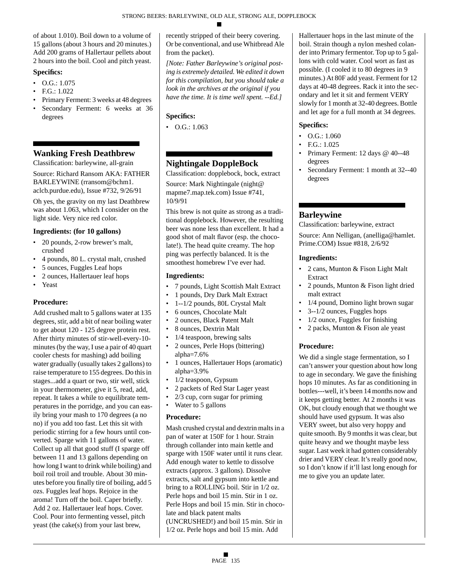of about 1.010). Boil down to a volume of 15 gallons (about 3 hours and 20 minutes.) Add 200 grams of Hallertaur pellets about 2 hours into the boil. Cool and pitch yeast.

#### **Specifics:**

- $\bullet$  O.G.: 1.075
- F.G.: 1.022
- Primary Ferment: 3 weeks at 48 degrees
- Secondary Ferment: 6 weeks at 36 degrees

# **Wanking Fresh Deathbrew**

Classification: barleywine, all-grain

Source: Richard Ransom AKA: FATHER BARLEYWINE (rransom@bchm1. aclcb.purdue.edu), Issue #732, 9/26/91

Oh yes, the gravity on my last Deathbrew was about 1.063, which I consider on the light side. Very nice red color.

# **Ingredients: (for 10 gallons)**

- 20 pounds, 2-row brewer's malt, crushed
- 4 pounds, 80 L. crystal malt, crushed
- 5 ounces, Fuggles Leaf hops
- 2 ounces, Hallertauer leaf hops
- Yeast

# **Procedure:**

Add crushed malt to 5 gallons water at 135 degrees, stir, add a bit of near boiling water to get about 120 - 125 degree protein rest. After thirty minutes of stir-well-every-10 minutes (by the way, I use a pair of 40 quart cooler chests for mashing) add boiling water gradually (usually takes 2 gallons) to raise temperature to 155 degrees. Do this in stages...add a quart or two, stir well, stick in your thermometer, give it 5, read, add, repeat. It takes a while to equilibrate temperatures in the porridge, and you can easily bring your mash to 170 degrees (a no no) if you add too fast. Let this sit with periodic stirring for a few hours until converted. Sparge with 11 gallons of water. Collect up all that good stuff (I sparge off between 11 and 13 gallons depending on how long I want to drink while boiling) and boil roil troil and trouble. About 30 minutes before you finally tire of boiling, add 5 ozs. Fuggles leaf hops. Rejoice in the aroma! Turn off the boil. Caper briefly. Add 2 oz. Hallertauer leaf hops. Cover. Cool. Pour into fermenting vessel, pitch yeast (the cake(s) from your last brew,

recently stripped of their beery covering. Or be conventional, and use Whitbread Ale from the packet).

*[Note: Father Barleywine's original posting is extremely detailed. We edited it down for this compilation, but you should take a look in the archives at the original if you have the time. It is time well spent. --Ed.]*

# **Specifics:**

 $\bullet$  O.G.: 1.063

# **Nightingale DoppleBock**

Classification: dopplebock, bock, extract Source: Mark Nightingale (night@ mapme7.map.tek.com) Issue #741, 10/9/91

This brew is not quite as strong as a traditional dopplebock. However, the resulting beer was none less than excellent. It had a good shot of malt flavor (esp. the chocolate!). The head quite creamy. The hop ping was perfectly balanced. It is the smoothest homebrew I've ever had.

# **Ingredients:**

- 7 pounds, Light Scottish Malt Extract
- 1 pounds, Dry Dark Malt Extract
- 1--1/2 pounds, 80L Crystal Malt
- 6 ounces, Chocolate Malt
- 2 ounces, Black Patent Malt
- 8 ounces, Dextrin Malt
- 1/4 teaspoon, brewing salts
- 2 ounces, Perle Hops (bittering) alpha= $7.6%$
- 1 ounces, Hallertauer Hops (aromatic) alpha=3.9%
- 1/2 teaspoon, Gypsum
- 2 packets of Red Star Lager yeast
- 2/3 cup, corn sugar for priming
- Water to 5 gallons

# **Procedure:**

Mash crushed crystal and dextrin malts in a pan of water at 150F for 1 hour. Strain through collander into main kettle and sparge with 150F water until it runs clear. Add enough water to kettle to dissolve extracts (approx. 3 gallons). Dissolve extracts, salt and gypsum into kettle and bring to a ROLLING boil. Stir in 1/2 oz. Perle hops and boil 15 min. Stir in 1 oz. Perle Hops and boil 15 min. Stir in chocolate and black patent malts (UNCRUSHED!) and boil 15 min. Stir in 1/2 oz. Perle hops and boil 15 min. Add

Hallertauer hops in the last minute of the boil. Strain though a nylon meshed colander into Primary fermentor. Top up to 5 gallons with cold water. Cool wort as fast as possible. (I cooled it to 80 degrees in 9 minutes.) At 80F add yeast. Ferment for 12 days at 40-48 degrees. Rack it into the secondary and let it sit and ferment VERY slowly for 1 month at 32-40 degrees. Bottle and let age for a full month at 34 degrees.

# **Specifics:**

- $\bullet$  O.G.: 1.060
- $FG: 1.025$
- Primary Ferment: 12 days @ 40--48 degrees
- Secondary Ferment: 1 month at 32--40 degrees

# **Barleywine**

Classification: barleywine, extract

Source: Ann Nelligan, (anelliga@hamlet. Prime.COM) Issue #818, 2/6/92

# **Ingredients:**

- 2 cans, Munton & Fison Light Malt Extract
- 2 pounds, Munton & Fison light dried malt extract
- 1/4 pound, Domino light brown sugar
- 3--1/2 ounces, Fuggles hops
- 1/2 ounce, Fuggles for finishing
- 2 packs, Munton & Fison ale yeast

# **Procedure:**

We did a single stage fermentation, so I can't answer your question about how long to age in secondary. We gave the finishing hops 10 minutes. As far as conditioning in bottles---well, it's been 14 months now and it keeps getting better. At 2 months it was OK, but cloudy enough that we thought we should have used gypsum. It was also VERY sweet, but also very hoppy and quite smooth. By 9 months it was clear, but quite heavy and we thought maybe less sugar. Last week it had gotten considerably drier and VERY clear. It's really good now, so I don't know if it'll last long enough for me to give you an update later.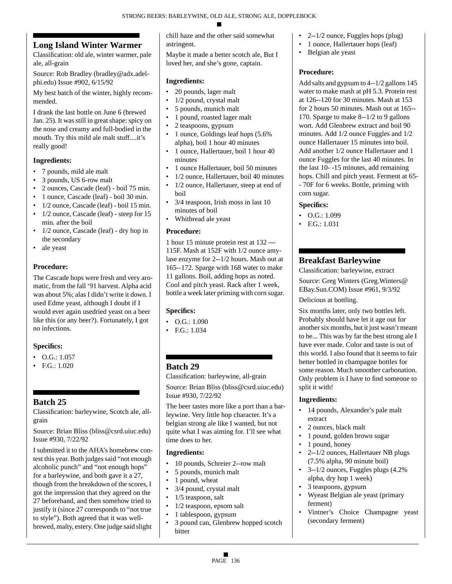# **Long Island Winter Warmer**

Classification: old ale, winter warmer, pale ale, all-grain

Source: Rob Bradley (bradley@adx.adelphi.edu) Issue #902, 6/15/92

My best batch of the winter, highly recommended.

I drank the last bottle on June 6 (brewed Jan. 25). It was still in great shape: spicy on the nose and creamy and full-bodied in the mouth. Try this mild ale malt stuff....it's really good!

# **Ingredients:**

- 7 pounds, mild ale malt
- 3 pounds, US 6-row malt
- 2 ounces, Cascade (leaf) boil 75 min.
- 1 ounce, Cascade (leaf) boil 30 min.
- 1/2 ounce, Cascade (leaf) boil 15 min.
- 1/2 ounce, Cascade (leaf) steep for 15 min. after the boil
- 1/2 ounce, Cascade (leaf) dry hop in the secondary
- ale yeast

#### **Procedure:**

The Cascade hops were fresh and very aromatic, from the fall '91 harvest. Alpha acid was about 5%; alas I didn't write it down. I used Edme yeast, although I doubt if I would ever again usedried yeast on a beer like this (or any beer?). Fortunately, I got no infections.

# **Specifics:**

- $\bullet$  O.G.: 1.057
- F.G.: 1.020

# **Batch 25**

Classification: barleywine, Scotch ale, allgrain

Source: Brian Bliss (bliss@csrd.uiuc.edu) Issue #930, 7/22/92

I submitted it to the AHA's homebrew contest this year. Both judges said "not enough alcoholic punch" and "not enough hops" for a barleywine, and both gave it a 27, though from the breakdown of the scores, I got the impression that they agreed on the 27 beforehand, and then somehow tried to justify it (since 27 corresponds to "not true to style"). Both agreed that it was wellbrewed, malty, estery. One judge said slight

chill haze and the other said somewhat astringent.

Maybe it made a better scotch ale, But I loved her, and she's gone, captain.

#### **Ingredients:**

- 20 pounds, lager malt
- 1/2 pound, crystal malt
- 5 pounds, munich malt
- 1 pound, roasted lager malt
- 2 teaspoons, gypsum
- 1 ounce, Goldings leaf hops (5.6% alpha), boil 1 hour 40 minutes
- 1 ounce, Hallertauer, boil 1 hour 40 minutes
- 1 ounce Hallertauer, boil 50 minutes
- 1/2 ounce, Hallertauer, boil 40 minutes • 1/2 ounce, Hallertauer, steep at end of
- boil
- 3/4 teaspoon, Irish moss in last 10 minutes of boil
- Whitbread ale yeast

#### **Procedure:**

1 hour 15 minute protein rest at 132 --- 115F. Mash at 152F with 1/2 ounce amylase enzyme for 2--1/2 hours. Mash out at 165--172. Sparge with 168 water to make 11 gallons. Boil, adding hops as noted. Cool and pitch yeast. Rack after 1 week, bottle a week later priming with corn sugar.

# **Specifics:**

- $\bullet$  O.G.: 1.090
- F.G.: 1.034

# **Batch 29**

Classification: barleywine, all-grain

Source: Brian Bliss (bliss@csrd.uiuc.edu) Issue #930, 7/22/92

The beer tastes more like a port than a barleywine. Very little hop character. It's a belgian strong ale like I wanted, but not quite what I was aiming for. I'll see what time does to her.

# **Ingredients:**

- 10 pounds, Schreier 2--row malt
- 5 pounds, munich malt
- 1 pound, wheat
- 3/4 pound, crystal malt
- 1/5 teaspoon, salt
- 1/2 teaspoon, epsom salt
- 1 tablespoon, gypsum
- 3 pound can, Glenbrew hopped scotch bitter
- $2 1/2$  ounce, Fuggles hops (plug)
- 1 ounce, Hallertauer hops (leaf)
- Belgian ale yeast

# **Procedure:**

Add salts and gypsum to 4--1/2 gallons 145 water to make mash at pH 5.3. Protein rest at 126--120 for 30 minutes. Mash at 153 for 2 hours 50 minutes. Mash out at 165-- 170. Sparge to make 8--1/2 to 9 gallons wort. Add Glenbrew extract and boil 90 minutes. Add 1/2 ounce Fuggles and 1/2 ounce Hallertauer 15 minutes into boil. Add another 1/2 ounce Hallertauer and 1 ounce Fuggles for the last 40 minutes. In the last 10- -15 minutes, add remaining hops. Chill and pitch yeast. Ferment at 65- - 70F for 6 weeks. Bottle, priming with corn sugar.

# **Specifics:**

- O.G.: 1.099
- F.G.: 1.031

# **Breakfast Barleywine**

Classification: barleywine, extract Source: Greg Winters (Greg.Winters@ EBay.Sun.COM) Issue #961, 9/3/92

Delicious at bottling.

Six months later, only two bottles left. Probably should have let it age out for another six months, but it just wasn't meant to be... This was by far the best strong ale I have ever made. Color and taste is out of this world. I also found that it seems to fair better bottled in champagne bottles for some reason. Much smoother carbonation. Only problem is I have to find someone to split it with!

- 14 pounds, Alexander's pale malt extract
- 2 ounces, black malt
- 1 pound, golden brown sugar
- 1 pound, honey
- 2--1/2 ounces, Hallertauer NB plugs (7.5% alpha, 90 minute boil)
- 3--1/2 ounces, Fuggles plugs (4.2% alpha, dry hop 1 week)
- 3 teaspoons, gypsum
- Wyeast Belgian ale yeast (primary ferment)
- Vintner's Choice Champagne yeast (secondary ferment)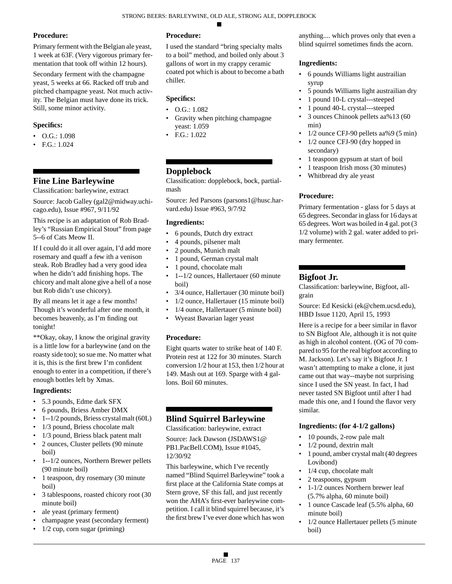Primary ferment with the Belgian ale yeast, 1 week at 63F. (Very vigorous primary fermentation that took off within 12 hours).

Secondary ferment with the champagne yeast, 5 weeks at 66. Racked off trub and pitched champagne yeast. Not much activity. The Belgian must have done its trick. Still, some minor activity.

## **Specifics:**

- O.G.: 1.098
- F.G.: 1.024

# **Fine Line Barleywine**

Classification: barleywine, extract

Source: Jacob Galley (gal2@midway.uchicago.edu), Issue #967, 9/11/92

This recipe is an adaptation of Rob Bradley's "Russian Empirical Stout" from page 5--6 of Cats Meow II.

If I could do it all over again, I'd add more rosemary and quaff a few ith a venison steak. Rob Bradley had a very good idea when he didn't add finishing hops. The chicory and malt alone give a hell of a nose but Rob didn't use chicory).

By all means let it age a few months! Though it's wonderful after one month, it becomes heavenly, as I'm finding out tonight!

\*\*Okay, okay, I know the original gravity is a little low for a barleywine (and on the roasty side too); so sue me. No matter what it is, this is the first brew I'm confident enough to enter in a competition, if there's enough bottles left by Xmas.

#### **Ingredients:**

- 5.3 pounds, Edme dark SFX
- 6 pounds, Briess Amber DMX
- 1--1/2 pounds, Briess crystal malt (60L)
- 1/3 pound, Briess chocolate malt
- 1/3 pound, Briess black patent malt
- 2 ounces, Cluster pellets (90 minute boil)
- 1--1/2 ounces, Northern Brewer pellets (90 minute boil)
- 1 teaspoon, dry rosemary (30 minute) boil)
- 3 tablespoons, roasted chicory root (30 minute boil)
- ale yeast (primary ferment)
- champagne yeast (secondary ferment)
- $1/2$  cup, corn sugar (priming)

# **Procedure:**

I used the standard "bring specialty malts to a boil" method, and boiled only about 3 gallons of wort in my crappy ceramic coated pot which is about to become a bath chiller.

#### **Specifics:**

- O.G.: 1.082
- Gravity when pitching champagne yeast: 1.059
- F.G.: 1.022

# **Dopplebock**

Classification: dopplebock, bock, partialmash

Source: Jed Parsons (parsons1@husc.harvard.edu) Issue #963, 9/7/92

#### **Ingredients:**

- 6 pounds, Dutch dry extract
- 4 pounds, pilsener malt
- 2 pounds, Munich malt
- 1 pound, German crystal malt
- 1 pound, chocolate malt
- 1--1/2 ounces, Hallertauer (60 minute boil)
- 3/4 ounce, Hallertauer (30 minute boil)
- 1/2 ounce, Hallertauer (15 minute boil)
- 1/4 ounce, Hallertauer (5 minute boil)
- Wyeast Bavarian lager yeast

#### **Procedure:**

Eight quarts water to strike heat of 140 F. Protein rest at 122 for 30 minutes. Starch conversion 1/2 hour at 153, then 1/2 hour at 149. Mash out at 169. Sparge with 4 gallons. Boil 60 minutes.

# **Blind Squirrel Barleywine**

Classification: barleywine, extract

Source: Jack Dawson (JSDAWS1@ PB1.PacBell.COM), Issue #1045, 12/30/92

This barleywine, which I've recently named "Blind Squirrel Barleywine" took a first place at the California State comps at Stern grove, SF this fall, and just recently won the AHA's first-ever barleywine competition. I call it blind squirrel because, it's the first brew I've ever done which has won

anything.... which proves only that even a blind squirrel sometimes finds the acorn.

#### **Ingredients:**

- 6 pounds Williams light austrailian syrup
- 5 pounds Williams light austrailian dry
- 1 pound 10-L crystal---steeped
- 1 pound 40-L crystal---steeped
- 3 ounces Chinook pellets aa%13 (60 min)
- 1/2 ounce CFJ-90 pellets aa%9 (5 min)
- 1/2 ounce CFJ-90 (dry hopped in secondary)
- 1 teaspoon gypsum at start of boil
- 1 teaspoon Irish moss (30 minutes)
- Whitbread dry ale yeast

#### **Procedure:**

Primary fermentation - glass for 5 days at 65 degrees. Secondar in glass for 16 days at 65 degrees. Wort was boiled in 4 gal. pot (3 1/2 volume) with 2 gal. water added to primary fermenter.

# **Bigfoot Jr.**

Classification: barleywine, Bigfoot, allgrain

Source: Ed Kesicki (ek@chem.ucsd.edu), HBD Issue 1120, April 15, 1993

Here is a recipe for a beer similar in flavor to SN Bigfoot Ale, although it is not quite as high in alcohol content. (OG of 70 compared to 95 for the real bigfoot according to M. Jackson). Let's say it's Bigfoot Jr. I wasn't attempting to make a clone, it just came out that way--maybe not surprising since I used the SN yeast. In fact, I had never tasted SN Bigfoot until after I had made this one, and I found the flavor very similar.

#### **Ingredients: (for 4-1/2 gallons)**

- 10 pounds, 2-row pale malt
- 1/2 pound, dextrin malt
- 1 pound, amber crystal malt (40 degrees Lovibond)
- 1/4 cup, chocolate malt
- 2 teaspoons, gypsum
- 1-1/2 ounces Northern brewer leaf (5.7% alpha, 60 minute boil)
- 1 ounce Cascade leaf (5.5% alpha, 60 minute boil)
- 1/2 ounce Hallertauer pellets (5 minute boil)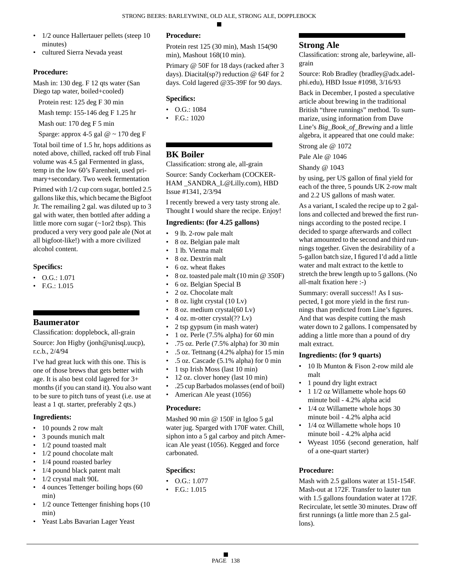- 1/2 ounce Hallertauer pellets (steep 10 minutes)
- cultured Sierra Nevada yeast

Mash in: 130 deg. F 12 qts water (San Diego tap water, boiled+cooled)

- Protein rest: 125 deg F 30 min
- Mash temp: 155-146 deg F 1.25 hr

Mash out: 170 deg F 5 min

Sparge: approx 4-5 gal  $@ \sim 170$  deg F

Total boil time of 1.5 hr, hops additions as noted above, chilled, racked off trub Final volume was 4.5 gal Fermented in glass, temp in the low 60's Farenheit, used primary+secondary. Two week fermentation

Primed with 1/2 cup corn sugar, bottled 2.5 gallons like this, which became the Bigfoot Jr. The remailing 2 gal. was diluted up to 3 gal with water, then bottled after adding a little more corn sugar (~1or2 tbsp). This produced a very very good pale ale (Not at all bigfoot-like!) with a more civilized alcohol content.

#### **Specifics:**

- O.G.: 1.071
- F.G.: 1.015

#### **Baumerator**

Classification: dopplebock, all-grain

Source: Jon Higby (jonh@unisql.uucp), r.c.b., 2/4/94

I've had great luck with this one. This is one of those brews that gets better with age. It is also best cold lagered for 3+ months (if you can stand it). You also want to be sure to pitch tuns of yeast (i.e. use at least a 1 qt. starter, preferably 2 qts.)

#### **Ingredients:**

- 10 pounds 2 row malt
- 3 pounds munich malt
- 1/2 pound toasted malt
- 1/2 pound chocolate malt
- 1/4 pound roasted barley
- 1/4 pound black patent malt
- 1/2 crystal malt 90L
- 4 ounces Tettenger boiling hops (60 min)
- 1/2 ounce Tettenger finishing hops (10 min)
- Yeast Labs Bavarian Lager Yeast

# **Procedure:**

Protein rest 125 (30 min), Mash 154(90 min), Mashout 168(10 min).

Primary @ 50F for 18 days (racked after 3 days). Diacital(sp?) reduction @ 64F for 2 days. Cold lagered @35-39F for 90 days.

#### **Specifics:**

- O.G.: 1084
- F.G.: 1020

# **BK Boiler**

Classification: strong ale, all-grain

Source: Sandy Cockerham (COCKER-HAM \_SANDRA\_L@Lilly.com), HBD Issue #1341, 2/3/94

I recently brewed a very tasty strong ale. Thought I would share the recipe. Enjoy!

#### **Ingredients: (for 4.25 gallons)**

- 9 lb. 2-row pale malt
- 8 oz. Belgian pale malt
- 1 lb. Vienna malt
- 8 oz. Dextrin malt
- 6 oz. wheat flakes
- 8 oz. toasted pale malt (10 min @ 350F)
- 6 oz. Belgian Special B
- 2 oz. Chocolate malt
- 8 oz. light crystal (10 Lv)
- 8 oz. medium crystal(60 Lv)
- 4 oz. m-otter crystal $(?? Lv)$
- 2 tsp gypsum (in mash water)
- 1 oz. Perle (7.5% alpha) for 60 min
- .75 oz. Perle (7.5% alpha) for 30 min
- .5 oz. Tettnang (4.2% alpha) for 15 min
- .5 oz. Cascade (5.1% alpha) for 0 min
- 1 tsp Irish Moss (last 10 min)
- 12 oz. clover honey (last 10 min)
- .25 cup Barbados molasses (end of boil)
- American Ale yeast (1056)

#### **Procedure:**

Mashed 90 min @ 150F in Igloo 5 gal water jug. Sparged with 170F water. Chill, siphon into a 5 gal carboy and pitch American Ale yeast (1056). Kegged and force carbonated.

#### **Specifics:**

- O.G.: 1.077
- F.G.: 1.015

#### **Strong Ale**

Classification: strong ale, barleywine, allgrain

Source: Rob Bradley (bradley@adx.adelphi.edu), HBD Issue #1098, 3/16/93

Back in December, I posted a speculative article about brewing in the traditional British "three runnings" method. To summarize, using information from Dave Line's *Big\_Book\_of\_Brewing* and a little algebra, it appeared that one could make: Strong ale @ 1072

Pale Ale @ 1046

Shandy @ 1043

by using, per US gallon of final yield for each of the three, 5 pounds UK 2-row malt and 2.2 US gallons of mash water.

As a variant, I scaled the recipe up to 2 gallons and collected and brewed the first runnings according to the posted recipe. I decided to sparge afterwards and collect what amounted to the second and third runnings together. Given the desirability of a 5-gallon batch size, I figured I'd add a little water and malt extract to the kettle to stretch the brew length up to 5 gallons. (No all-malt fixation here :-)

Summary: overall success!! As I suspected, I got more yield in the first runnings than predicted from Line's figures. And that was despite cutting the mash water down to 2 gallons. I compensated by adding a little more than a pound of dry malt extract.

#### **Ingredients: (for 9 quarts)**

- 10 lb Munton & Fison 2-row mild ale malt
- 1 pound dry light extract
- 1 1/2 oz Willamette whole hops 60 minute boil - 4.2% alpha acid
- 1/4 oz Willamette whole hops 30 minute boil - 4.2% alpha acid
- 1/4 oz Willamette whole hops 10 minute boil - 4.2% alpha acid
- Wyeast 1056 (second generation, half of a one-quart starter)

#### **Procedure:**

Mash with 2.5 gallons water at 151-154F. Mash-out at 172F. Transfer to lauter tun with 1.5 gallons foundation water at 172F. Recirculate, let settle 30 minutes. Draw off first runnings (a little more than 2.5 gallons).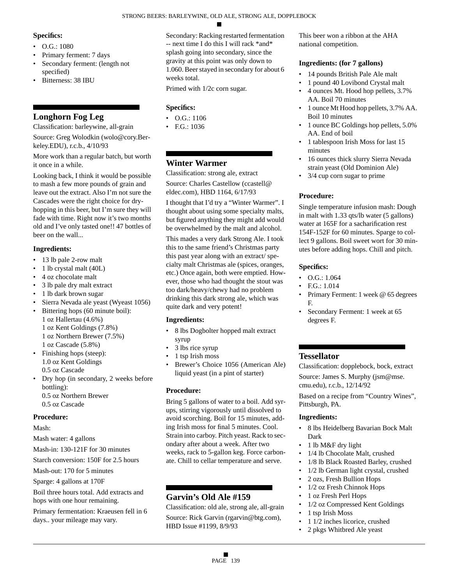#### **Specifics:**

- O.G.: 1080
- Primary ferment: 7 days
- Secondary ferment: (length not specified)
- Bitterness: 38 IBU

# **Longhorn Fog Leg**

Classification: barleywine, all-grain

Source: Greg Wolodkin (wolo@cory.Berkeley.EDU), r.c.b., 4/10/93

More work than a regular batch, but worth it once in a while.

Looking back, I think it would be possible to mash a few more pounds of grain and leave out the extract. Also I'm not sure the Cascades were the right choice for dryhopping in this beer, but I'm sure they will fade with time. Right now it's two months old and I've only tasted one!! 47 bottles of beer on the wall...

# **Ingredients:**

- 13 lb pale 2-row malt
- 1 lb crystal malt (40L)
- 4 oz chocolate malt
- 3 lb pale dry malt extract
- 1 lb dark brown sugar
- Sierra Nevada ale yeast (Wyeast 1056)
- Bittering hops (60 minute boil):
- 1 oz Hallertau (4.6%) 1 oz Kent Goldings (7.8%) 1 oz Northern Brewer (7.5%)
- 1 oz Cascade (5.8%)
- Finishing hops (steep): 1.0 oz Kent Goldings 0.5 oz Cascade
- Dry hop (in secondary, 2 weeks before bottling): 0.5 oz Northern Brewer
	- 0.5 oz Cascade

# **Procedure:**

Mash:

Mash water: 4 gallons

- Mash-in: 130-121F for 30 minutes
- Starch conversion: 150F for 2.5 hours
- Mash-out: 170 for 5 minutes
- Sparge: 4 gallons at 170F
- Boil three hours total. Add extracts and hops with one hour remaining.

Primary fermentation: Kraeusen fell in 6 days.. your mileage may vary.

Secondary: Racking restarted fermentation -- next time I do this I will rack \*and\* splash going into secondary, since the gravity at this point was only down to 1.060. Beer stayed in secondary for about 6 weeks total.

Primed with 1/2c corn sugar.

# **Specifics:**

- O.G.: 1106
- F.G.: 1036

# **Winter Warmer**

Classification: strong ale, extract Source: Charles Castellow (ccastell@ eldec.com), HBD 1164, 6/17/93

I thought that I'd try a "Winter Warmer". I thought about using some specialty malts, but figured anything they might add would be overwhelmed by the malt and alcohol.

This mades a very dark Strong Ale. I took this to the same friend's Christmas party this past year along with an extract/ specialty malt Christmas ale (spices, oranges, etc.) Once again, both were emptied. However, those who had thought the stout was too dark/heavy/chewy had no problem drinking this dark strong ale, which was quite dark and very potent!

# **Ingredients:**

- 8 lbs Dogbolter hopped malt extract syrup
- 3 lbs rice syrup
- 1 tsp Irish moss
- Brewer's Choice 1056 (American Ale) liquid yeast (in a pint of starter)

# **Procedure:**

Bring 5 gallons of water to a boil. Add syrups, stirring vigorously until dissolved to avoid scorching. Boil for 15 minutes, adding Irish moss for final 5 minutes. Cool. Strain into carboy. Pitch yeast. Rack to secondary after about a week. After two weeks, rack to 5-gallon keg. Force carbonate. Chill to cellar temperature and serve.

# **Garvin's Old Ale #159**

Classification: old ale, strong ale, all-grain Source: Rick Garvin (rgarvin@btg.com), HBD Issue #1199, 8/9/93

This beer won a ribbon at the AHA national competition.

# **Ingredients: (for 7 gallons)**

- 14 pounds British Pale Ale malt
- 1 pound 40 Lovibond Crystal malt
- 4 ounces Mt. Hood hop pellets, 3.7% AA. Boil 70 minutes
- 1 ounce Mt Hood hop pellets, 3.7% AA. Boil 10 minutes
- 1 ounce BC Goldings hop pellets, 5.0% AA. End of boil
- 1 tablespoon Irish Moss for last 15 minutes
- 16 ounces thick slurry Sierra Nevada strain yeast (Old Dominion Ale)
- 3/4 cup corn sugar to prime

# **Procedure:**

Single temperature infusion mash: Dough in malt with 1.33 qts/lb water (5 gallons) water at 165F for a sacharification rest 154F-152F for 60 minutes. Sparge to collect 9 gallons. Boil sweet wort for 30 minutes before adding hops. Chill and pitch.

# **Specifics:**

- O.G.: 1.064
- F.G.: 1.014
- Primary Ferment: 1 week @ 65 degrees F.
- Secondary Ferment: 1 week at 65 degrees F.

# **Tessellator**

Classification: dopplebock, bock, extract

Source: James S. Murphy (jsm@mse. cmu.edu), r.c.b., 12/14/92

Based on a recipe from "Country Wines", Pittsburgh, PA.

- 8 lbs Heidelberg Bavarian Bock Malt Dark
- 1 lb M&F dry light
- 1/4 lb Chocolate Malt, crushed
- 1/8 lb Black Roasted Barley, crushed
- 1/2 lb German light crystal, crushed
- 2 ozs, Fresh Bullion Hops
- 1/2 oz Fresh Chinnok Hops
- 1 oz Fresh Perl Hops
- 1/2 oz Compressed Kent Goldings
- 1 tsp Irish Moss
- 1 1/2 inches licorice, crushed
- 2 pkgs Whitbred Ale yeast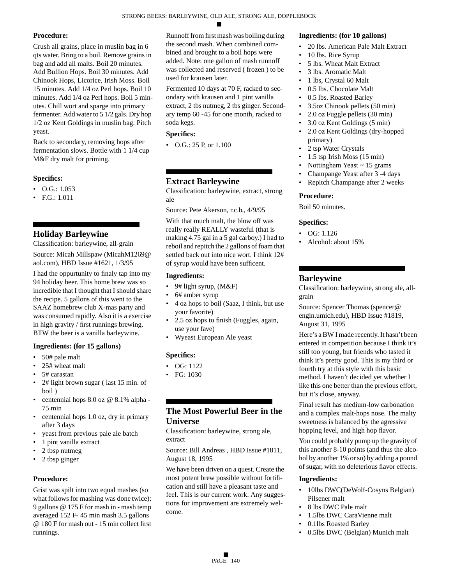Crush all grains, place in muslin bag in 6 qts water. Bring to a boil. Remove grains in bag and add all malts. Boil 20 minutes. Add Bullion Hops. Boil 30 minutes. Add Chinook Hops, Licorice, Irish Moss. Boil 15 minutes. Add 1/4 oz Perl hops. Boil 10 minutes. Add 1/4 oz Perl hops. Boil 5 minutes. Chill wort and sparge into primary fermenter. Add water to 5 1/2 gals. Dry hop 1/2 oz Kent Goldings in muslin bag. Pitch yeast.

Rack to secondary, removing hops after fermentation slows. Bottle with 1 1/4 cup M&F dry malt for priming.

# **Specifics:**

- $\bullet$  O.G.: 1.053
- F.G.: 1.011

# **Holiday Barleywine**

Classification: barleywine, all-grain

Source: Micah Millspaw (MicahM1269@ aol.com), HBD Issue #1621, 1/3/95

I had the oppurtunity to finaly tap into my 94 holiday beer. This home brew was so incredible that I thought that I should share the recipe. 5 gallons of this went to the SAAZ homebrew club X-mas party and was consumed rapidly. Also it is a exercise in high gravity / first runnings brewing. BTW the beer is a vanilla barleywine.

# **Ingredients: (for 15 gallons)**

- 50# pale malt
- 25# wheat malt
- 5# carastan
- 2# light brown sugar ( last 15 min. of boil )
- centennial hops 8.0 oz @ 8.1% alpha 75 min
- centennial hops 1.0 oz, dry in primary after 3 days
- yeast from previous pale ale batch
- 1 pint vanilla extract
- 2 tbsp nutmeg
- 2 tbsp ginger

# **Procedure:**

Grist was spilt into two equal mashes (so what follows for mashing was done twice): 9 gallons @ 175 F for mash in - mash temp averaged 152 F- 45 min mash 3.5 gallons @ 180 F for mash out - 15 min collect first runnings.

Runnoff from first mash was boiling during the second mash. When combined combined and brought to a boil hops were added. Note: one gallon of mash runnoff was collected and reserved ( frozen ) to be used for krausen later.

Fermented 10 days at 70 F, racked to secondary with krausen and 1 pint vanilla extract, 2 tbs nutmeg, 2 tbs ginger. Secondary temp 60 -45 for one month, racked to soda kegs.

# **Specifics:**

• O.G.: 25 P, or 1.100

# **Extract Barleywine**

Classification: barleywine, extract, strong ale

Source: Pete Akerson, r.c.b., 4/9/95 With that much malt, the blow off was

really really REALLY wasteful (that is making 4.75 gal in a 5 gal carboy.) I had to reboil and repitch the 2 gallons of foam that settled back out into nice wort. I think 12# of syrup would have been sufficent.

# **Ingredients:**

- 9# light syrup,  $(M&F)$
- 6# amber syrup
- 4 oz hops to boil (Saaz, I think, but use your favorite)
- 2.5 oz hops to finish (Fuggles, again, use your fave)
- Wyeast European Ale yeast

# **Specifics:**

- OG: 1122
- FG: 1030

# **The Most Powerful Beer in the Universe**

Classification: barleywine, strong ale, extract

Source: Bill Andreas , HBD Issue #1811, August 18, 1995

We have been driven on a quest. Create the most potent brew possible without fortification and still have a pleasant taste and feel. This is our current work. Any suggestions for improvement are extremely welcome.

## **Ingredients: (for 10 gallons)**

- 20 lbs. American Pale Malt Extract
- 10 lbs. Rice Syrup
- 5 lbs. Wheat Malt Extract
- 3 lbs. Aromatic Malt
- 1 lbs, Crystal 60 Malt
- 0.5 lbs. Chocolate Malt
- 0.5 lbs. Roasted Barley
- 3.5oz Chinook pellets (50 min)
- 2.0 oz Fuggle pellets (30 min)
- 3.0 oz Kent Goldings (5 min)
- 2.0 oz Kent Goldings (dry-hopped primary)
- 2 tsp Water Crystals
- 1.5 tsp Irish Moss (15 min)
- Nottingham Yeast ~ 15 grams
- Champange Yeast after 3 -4 days
- Repitch Champange after 2 weeks

# **Procedure:**

Boil 50 minutes.

# **Specifics:**

- OG: 1.126
- Alcohol: about 15%

# **Barleywine**

Classification: barleywine, strong ale, allgrain

Source: Spencer Thomas (spencer@ engin.umich.edu), HBD Issue #1819, August 31, 1995

Here's a BW I made recently. It hasn't been entered in competition because I think it's still too young, but friends who tasted it think it's pretty good. This is my third or fourth try at this style with this basic method. I haven't decided yet whether I like this one better than the previous effort, but it's close, anyway.

Final result has medium-low carbonation and a complex malt-hops nose. The malty sweetness is balanced by the agressive hopping level, and high hop flavor.

You could probably pump up the gravity of this another 8-10 points (and thus the alcohol by another 1% or so) by adding a pound of sugar, with no deleterious flavor effects.

- 10lbs DWC(DeWolf-Cosyns Belgian) Pilsener malt
- 8 lbs DWC Pale malt
- 1.5lbs DWC CaraVienne malt
- 0.1lbs Roasted Barley
- 0.5lbs DWC (Belgian) Munich malt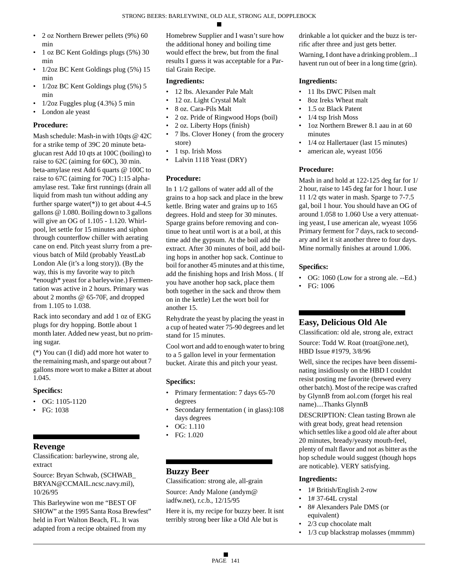- 2 oz Northern Brewer pellets (9%) 60 min
- 1 oz BC Kent Goldings plugs (5%) 30 min
- 1/2oz BC Kent Goldings plug (5%) 15 min
- $1/2oz$  BC Kent Goldings plug  $(5%)$  5 min
- $1/2oz Fuggles plug (4.3%) 5 min$
- London ale yeast

Mash schedule: Mash-in with 10qts @ 42C for a strike temp of 39C 20 minute betaglucan rest Add 10 qts at 100C (boiling) to raise to 62C (aiming for 60C), 30 min. beta-amylase rest Add 6 quarts @ 100C to raise to 67C (aiming for 70C) 1:15 alphaamylase rest. Take first runnings (drain all liquid from mash tun without adding any further sparge water $(*)$ ) to get about 4-4.5 gallons @ 1.080. Boiling down to 3 gallons will give an OG of 1.105 - 1.120. Whirlpool, let settle for 15 minutes and siphon through counterflow chiller with aerating cane on end. Pitch yeast slurry from a previous batch of Mild (probably YeastLab London Ale (it's a long story)). (By the way, this is my favorite way to pitch \*enough\* yeast for a barleywine.) Fermentation was active in 2 hours. Primary was about 2 months @ 65-70F, and dropped from 1.105 to 1.038.

Rack into secondary and add 1 oz of EKG plugs for dry hopping. Bottle about 1 month later. Added new yeast, but no priming sugar.

(\*) You can (I did) add more hot water to the remaining mash, and sparge out about 7 gallons more wort to make a Bitter at about 1.045.

#### **Specifics:**

- $\bullet$  OG: 1105-1120
- FG: 1038

# **Revenge**

Classification: barleywine, strong ale, extract

Source: Bryan Schwab, (SCHWAB\_ BRYAN@CCMAIL.ncsc.navy.mil), 10/26/95

This Barleywine won me "BEST OF SHOW" at the 1995 Santa Rosa Brewfest" held in Fort Walton Beach, FL. It was adapted from a recipe obtained from my

Homebrew Supplier and I wasn't sure how the additional honey and boiling time would effect the brew, but from the final results I guess it was acceptable for a Partial Grain Recipe.

#### **Ingredients:**

- 12 lbs. Alexander Pale Malt
- 12 oz. Light Crystal Malt
- 8 oz. Cara-Pils Malt
- 2 oz. Pride of Ringwood Hops (boil)
- 2 oz. Liberty Hops (finish)
- 7 lbs. Clover Honey ( from the grocery store)
- 1 tsp. Irish Moss
- Lalvin 1118 Yeast (DRY)

# **Procedure:**

In 1 1/2 gallons of water add all of the grains to a hop sack and place in the brew kettle. Bring water and grains up to 165 degrees. Hold and steep for 30 minutes. Sparge grains before removing and continue to heat until wort is at a boil, at this time add the gypsum. At the boil add the extract. After 30 minutes of boil, add boiling hops in another hop sack. Continue to boil for another 45 minutes and at this time, add the finishing hops and Irish Moss. ( If you have another hop sack, place them both together in the sack and throw them on in the kettle) Let the wort boil for another 15.

Rehydrate the yeast by placing the yeast in a cup of heated water 75-90 degrees and let stand for 15 minutes.

Cool wort and add to enough water to bring to a 5 gallon level in your fermentation bucket. Airate this and pitch your yeast.

# **Specifics:**

- Primary fermentation: 7 days 65-70 degrees
- Secondary fermentation ( in glass):108 days degrees
- OG: 1.110
- FG: 1.020

# **Buzzy Beer**

Classification: strong ale, all-grain

Source: Andy Malone (andym@ iadfw.net), r.c.b., 12/15/95

Here it is, my recipe for buzzy beer. It isnt terribly strong beer like a Old Ale but is

drinkable a lot quicker and the buzz is terrific after three and just gets better.

Warning, I dont have a drinking problem...I havent run out of beer in a long time (grin).

# **Ingredients:**

- 11 lbs DWC Pilsen malt
- 8oz Ireks Wheat malt
- 1.5 oz Black Patent
- 1/4 tsp Irish Moss
- 1oz Northern Brewer 8.1 aau in at 60 minutes
- 1/4 oz Hallertauer (last 15 minutes)
- american ale, wyeast 1056

# **Procedure:**

Mash in and hold at 122-125 deg far for 1/ 2 hour, raise to 145 deg far for 1 hour. I use 11 1/2 qts water in mash. Sparge to 7-7.5 gal, boil 1 hour. You should have an OG of around 1.058 to 1.060 Use a very attenuating yeast, I use american ale, wyeast 1056 Primary ferment for 7 days, rack to secondary and let it sit another three to four days. Mine normally finishes at around 1.006.

#### **Specifics:**

- OG: 1060 (Low for a strong ale. --Ed.)
- FG: 1006

# **Easy, Delicious Old Ale**

Classification: old ale, strong ale, extract Source: Todd W. Roat (troat@one.net), HBD Issue #1979, 3/8/96

Well, since the recipes have been disseminating insidiously on the HBD I couldnt resist posting me favorite (brewed every other batch). Most of the recipe was crafted by GlynnB from aol.com (forget his real name)....Thanks GlynnB

DESCRIPTION: Clean tasting Brown ale with great body, great head retension which settles like a good old ale after about 20 minutes, bready/yeasty mouth-feel, plenty of malt flavor and not as bitter as the hop schedule would suggest (though hops are noticable). VERY satisfying.

- 1# British/English 2-row
- 1# 37-64L crystal
- 8# Alexanders Pale DMS (or equivalent)
- 2/3 cup chocolate malt
- 1/3 cup blackstrap molasses (mmmm)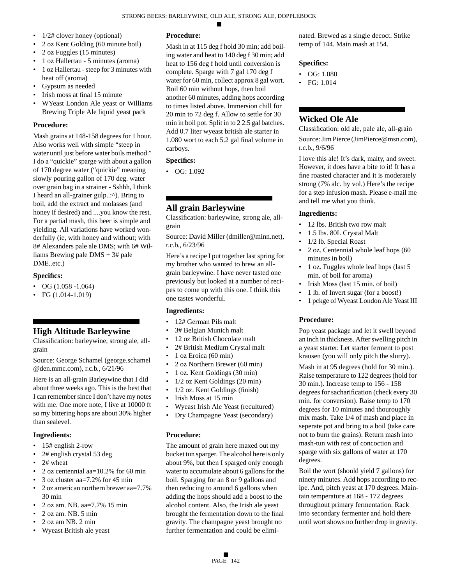- $1/2$ # clover honey (optional)
- 2 oz Kent Golding (60 minute boil)
- 2 oz Fuggles (15 minutes)
- 1 oz Hallertau 5 minutes (aroma)
- 1 oz Hallertau steep for 3 minutes with heat off (aroma)
- Gypsum as needed
- Irish moss at final 15 minute
- WYeast London Ale yeast or Williams Brewing Triple Ale liquid yeast pack

Mash grains at 148-158 degrees for 1 hour. Also works well with simple "steep in water until just before water boils method." I do a "quickie" sparge with about a gallon of 170 degree water ("quickie" meaning slowly pouring gallon of 170 deg. water over grain bag in a strainer - Sshhh, I think I heard an all-grainer gulp..:^). Bring to boil, add the extract and molasses (and honey if desired) and ....you know the rest. For a partial mash, this beer is simple and yielding. All variations have worked wonderfully (ie, with honey and without; with 8# Alexanders pale ale DMS; with 6# Williams Brewing pale DMS + 3# pale DME..etc.)

#### **Specifics:**

- OG  $(1.058 1.064)$
- FG  $(1.014 1.019)$

# **High Altitude Barleywine**

Classification: barleywine, strong ale, allgrain

Source: George Schamel (george.schamel @den.mmc.com), r.c.b., 6/21/96

Here is an all-grain Barleywine that I did about three weeks ago. This is the best that I can remember since I don't have my notes with me. One more note, I live at 10000 ft so my bittering hops are about 30% higher than sealevel.

#### **Ingredients:**

- 15# english 2-row
- 2# english crystal 53 deg
- 2# wheat
- 2 oz centennial aa= $10.2\%$  for 60 min
- 3 oz cluster aa=7.2% for 45 min
- 2 oz american northern brewer aa=7.7% 30 min
- 2 oz am. NB. aa=7.7% 15 min
- 2 oz am. NB. 5 min
- 2 oz am NB. 2 min
- Wyeast British ale yeast

# **Procedure:**

Mash in at 115 deg f hold 30 min; add boiling water and heat to 140 deg f 30 min; add heat to 156 deg f hold until conversion is complete. Sparge with 7 gal 170 deg f water for 60 min, collect approx 8 gal wort. Boil 60 min without hops, then boil another 60 minutes, adding hops according to times listed above. Immersion chill for 20 min to 72 deg f. Allow to settle for 30 min in boil pot. Split in to 2 2.5 gal batches. Add 0.7 liter wyeast british ale starter in 1.080 wort to each 5.2 gal final volume in carboys.

#### **Specifics:**

• OG: 1.092

# **All grain Barleywine**

Classification: barleywine, strong ale, allgrain

Source: David Miller (dmiller@minn.net), r.c.b., 6/23/96

Here's a recipe I put together last spring for my brother who wanted to brew an allgrain barleywine. I have never tasted one previously but looked at a number of recipes to come up with this one. I think this one tastes wonderful.

#### **Ingredients:**

- 12# German Pils malt
- 3# Belgian Munich malt
- 12 oz British Chocolate malt
- 2# British Medium Crystal malt
- 1 oz Eroica (60 min)
- 2 oz Northern Brewer (60 min)
- 1 oz. Kent Goldings (30 min)
- 1/2 oz Kent Goldings (20 min)
- 1/2 oz. Kent Goldings (finish)
- Irish Moss at 15 min
- Wyeast Irish Ale Yeast (recultured)
- Dry Champagne Yeast (secondary)

#### **Procedure:**

The amount of grain here maxed out my bucket tun sparger. The alcohol here is only about 9%, but then I sparged only enough water to accumulate about 6 gallons for the boil. Sparging for an 8 or 9 gallons and then reducing to around 6 gallons when adding the hops should add a boost to the alcohol content. Also, the Irish ale yeast brought the fermentation down to the final gravity. The champagne yeast brought no further fermentation and could be eliminated. Brewed as a single decoct. Strike temp of 144. Main mash at 154.

#### **Specifics:**

- OG: 1.080
- FG: 1.014

# **Wicked Ole Ale**

Classification: old ale, pale ale, all-grain Source: Jim Pierce (JimPierce@msn.com), r.c.b., 9/6/96

I love this ale! It's dark, malty, and sweet. However, it does have a bite to it! It has a fine roasted character and it is moderately strong (7% alc. by vol.) Here's the recipe for a step infusion mash. Please e-mail me and tell me what you think.

#### **Ingredients:**

- 12 lbs. British two row malt
- 1.5 lbs. 80L Crystal Malt
- 1/2 lb. Special Roast
- 2 oz. Centennial whole leaf hops (60 minutes in boil)
- 1 oz. Fuggles whole leaf hops (last 5 min. of boil for aroma)
- Irish Moss (last 15 min. of boil)
- 1 lb. of Invert sugar (for a boost!)
- 1 pckge of Wyeast London Ale Yeast III

## **Procedure:**

Pop yeast package and let it swell beyond an inch in thickness. After swelling pitch in a yeast starter. Let starter ferment to post krausen (you will only pitch the slurry).

Mash in at 95 degrees (hold for 30 min.). Raise temperature to 122 degrees (hold for 30 min.). Increase temp to 156 - 158 degrees for sacharification (check every 30 min. for conversion). Raise temp to 170 degrees for 10 minutes and thouroughly mix mash. Take 1/4 of mash and place in seperate pot and bring to a boil (take care not to burn the grains). Return mash into mash-tun with rest of concoction and sparge with six gallons of water at 170 degrees.

Boil the wort (should yield 7 gallons) for ninety minutes. Add hops according to recipe. And, pitch yeast at 170 degrees. Maintain temperature at 168 - 172 degrees throughout primary fermentation. Rack into secondary fermenter and hold there until wort shows no further drop in gravity.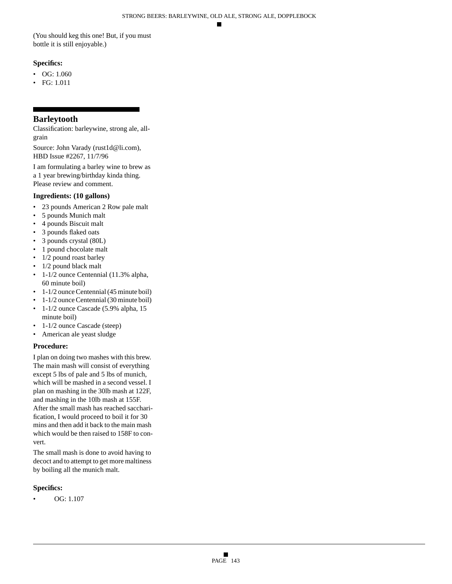(You should keg this one! But, if you must bottle it is still enjoyable.)

# **Specifics:**

- OG: 1.060
- FG: 1.011

# **Barleytooth**

Classification: barleywine, strong ale, allgrain

Source: John Varady (rust1d@li.com), HBD Issue #2267, 11/7/96

I am formulating a barley wine to brew as a 1 year brewing/birthday kinda thing. Please review and comment.

# **Ingredients: (10 gallons)**

- 23 pounds American 2 Row pale malt
- 5 pounds Munich malt
- 4 pounds Biscuit malt
- 3 pounds flaked oats
- 3 pounds crystal (80L)
- 1 pound chocolate malt
- 1/2 pound roast barley
- 1/2 pound black malt
- 1-1/2 ounce Centennial (11.3% alpha, 60 minute boil)
- 1-1/2 ounce Centennial (45 minute boil)
- 1-1/2 ounce Centennial (30 minute boil)
- 1-1/2 ounce Cascade (5.9% alpha, 15 minute boil)
- 1-1/2 ounce Cascade (steep)
- American ale yeast sludge

# **Procedure:**

I plan on doing two mashes with this brew. The main mash will consist of everything except 5 lbs of pale and 5 lbs of munich, which will be mashed in a second vessel. I plan on mashing in the 30lb mash at 122F, and mashing in the 10lb mash at 155F. After the small mash has reached saccharification, I would proceed to boil it for 30 mins and then add it back to the main mash which would be then raised to 158F to convert.

The small mash is done to avoid having to decoct and to attempt to get more maltiness by boiling all the munich malt.

# **Specifics:**

• OG: 1.107